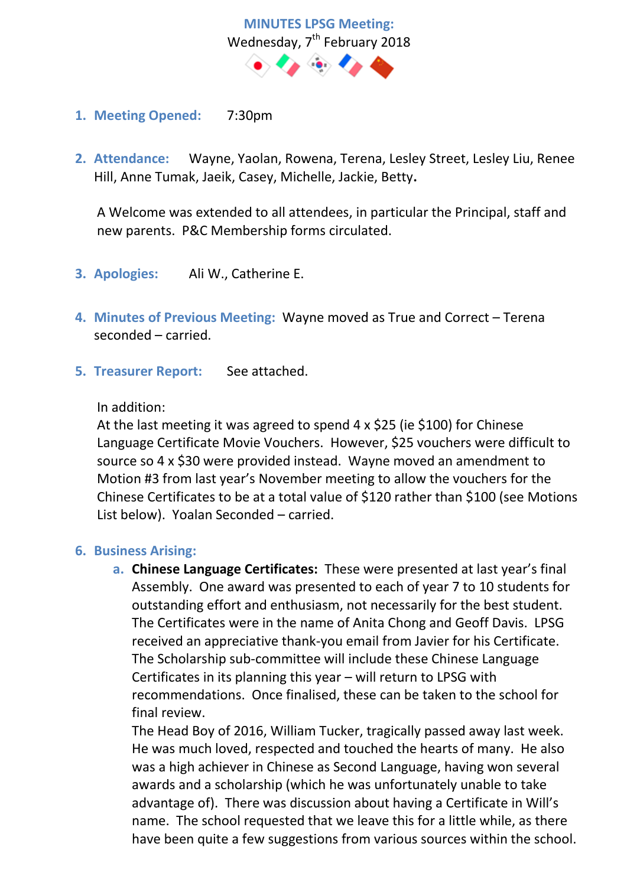

- **1. Meeting Opened:** 7:30pm
- **2. Attendance:** Wayne, Yaolan, Rowena, Terena, Lesley Street, Lesley Liu, Renee Hill, Anne Tumak, Jaeik, Casey, Michelle, Jackie, Betty**.**

A Welcome was extended to all attendees, in particular the Principal, staff and new parents. P&C Membership forms circulated.

- **3. Apologies:** Ali W., Catherine E.
- **4. Minutes of Previous Meeting:** Wayne moved as True and Correct Terena seconded – carried.
- **5. Treasurer Report:** See attached.

### In addition:

At the last meeting it was agreed to spend 4 x \$25 (ie \$100) for Chinese Language Certificate Movie Vouchers. However, \$25 vouchers were difficult to source so 4 x \$30 were provided instead. Wayne moved an amendment to Motion #3 from last year's November meeting to allow the vouchers for the Chinese Certificates to be at a total value of \$120 rather than \$100 (see Motions List below). Yoalan Seconded – carried.

### **6. Business Arising:**

**a. Chinese Language Certificates:** These were presented at last year's final Assembly. One award was presented to each of year 7 to 10 students for outstanding effort and enthusiasm, not necessarily for the best student. The Certificates were in the name of Anita Chong and Geoff Davis. LPSG received an appreciative thank-you email from Javier for his Certificate. The Scholarship sub-committee will include these Chinese Language Certificates in its planning this year – will return to LPSG with recommendations. Once finalised, these can be taken to the school for final review.

The Head Boy of 2016, William Tucker, tragically passed away last week. He was much loved, respected and touched the hearts of many. He also was a high achiever in Chinese as Second Language, having won several awards and a scholarship (which he was unfortunately unable to take advantage of). There was discussion about having a Certificate in Will's name. The school requested that we leave this for a little while, as there have been quite a few suggestions from various sources within the school.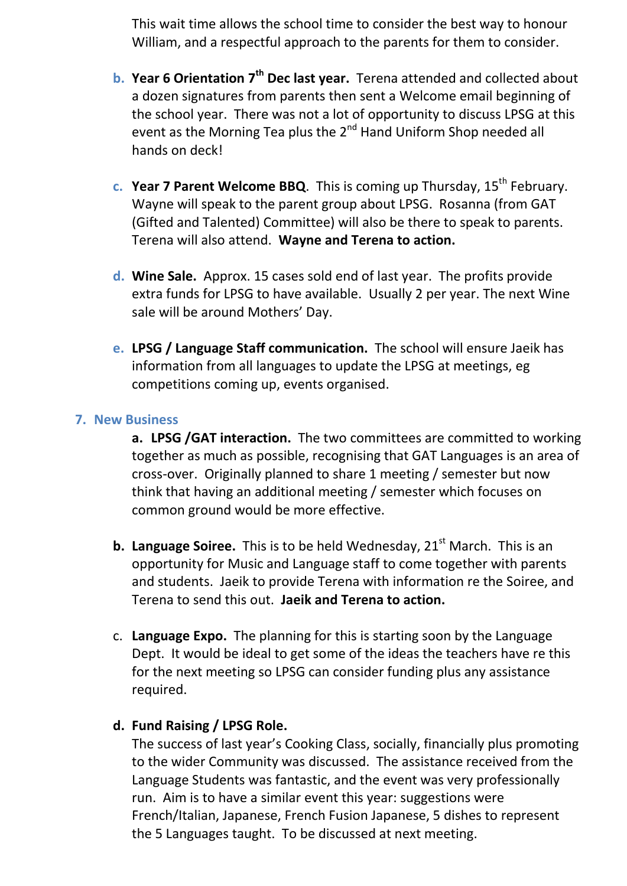This wait time allows the school time to consider the best way to honour William, and a respectful approach to the parents for them to consider.

- **b. Year 6 Orientation 7th Dec last year.** Terena attended and collected about a dozen signatures from parents then sent a Welcome email beginning of the school year. There was not a lot of opportunity to discuss LPSG at this event as the Morning Tea plus the  $2^{nd}$  Hand Uniform Shop needed all hands on deck!
- **c. Year 7 Parent Welcome BBQ**. This is coming up Thursday, 15<sup>th</sup> February. Wayne will speak to the parent group about LPSG. Rosanna (from GAT (Gifted and Talented) Committee) will also be there to speak to parents. Terena will also attend. **Wayne and Terena to action.**
- **d. Wine Sale.** Approx. 15 cases sold end of last year. The profits provide extra funds for LPSG to have available. Usually 2 per year. The next Wine sale will be around Mothers' Day.
- **e. LPSG / Language Staff communication.** The school will ensure Jaeik has information from all languages to update the LPSG at meetings, eg competitions coming up, events organised.

## **7. New Business**

**a. LPSG /GAT interaction.** The two committees are committed to working together as much as possible, recognising that GAT Languages is an area of cross-over. Originally planned to share 1 meeting / semester but now think that having an additional meeting / semester which focuses on common ground would be more effective.

- **b. Language Soiree.** This is to be held Wednesday, 21<sup>st</sup> March. This is an opportunity for Music and Language staff to come together with parents and students. Jaeik to provide Terena with information re the Soiree, and Terena to send this out. **Jaeik and Terena to action.**
- c. **Language Expo.** The planning for this is starting soon by the Language Dept. It would be ideal to get some of the ideas the teachers have re this for the next meeting so LPSG can consider funding plus any assistance required.

# **d. Fund Raising / LPSG Role.**

The success of last year's Cooking Class, socially, financially plus promoting to the wider Community was discussed. The assistance received from the Language Students was fantastic, and the event was very professionally run. Aim is to have a similar event this year: suggestions were French/Italian, Japanese, French Fusion Japanese, 5 dishes to represent the 5 Languages taught. To be discussed at next meeting.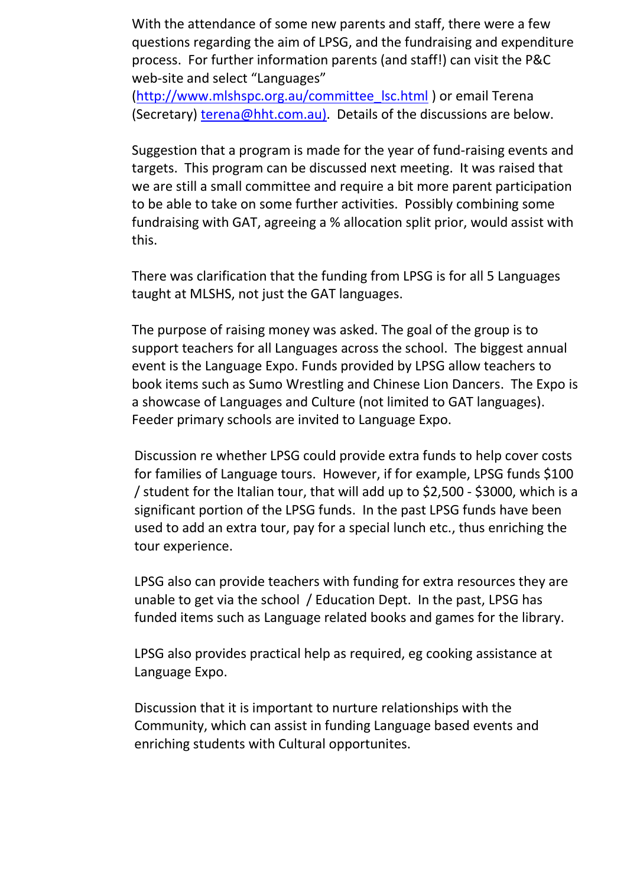With the attendance of some new parents and staff, there were a few questions regarding the aim of LPSG, and the fundraising and expenditure process. For further information parents (and staff!) can visit the P&C web-site and select "Languages"

[\(http://www.mlshspc.org.au/committee\\_lsc.html](http://www.mlshspc.org.au/committee_lsc.html) ) or email Terena (Secretary) [terena@hht.com.au\).](mailto:terena@hht.com.au)) Details of the discussions are below.

Suggestion that a program is made for the year of fund-raising events and targets. This program can be discussed next meeting. It was raised that we are still a small committee and require a bit more parent participation to be able to take on some further activities. Possibly combining some fundraising with GAT, agreeing a % allocation split prior, would assist with this.

There was clarification that the funding from LPSG is for all 5 Languages taught at MLSHS, not just the GAT languages.

The purpose of raising money was asked. The goal of the group is to support teachers for all Languages across the school. The biggest annual event is the Language Expo. Funds provided by LPSG allow teachers to book items such as Sumo Wrestling and Chinese Lion Dancers. The Expo is a showcase of Languages and Culture (not limited to GAT languages). Feeder primary schools are invited to Language Expo.

Discussion re whether LPSG could provide extra funds to help cover costs for families of Language tours. However, if for example, LPSG funds \$100 / student for the Italian tour, that will add up to \$2,500 - \$3000, which is a significant portion of the LPSG funds. In the past LPSG funds have been used to add an extra tour, pay for a special lunch etc., thus enriching the tour experience.

LPSG also can provide teachers with funding for extra resources they are unable to get via the school / Education Dept. In the past, LPSG has funded items such as Language related books and games for the library.

LPSG also provides practical help as required, eg cooking assistance at Language Expo.

Discussion that it is important to nurture relationships with the Community, which can assist in funding Language based events and enriching students with Cultural opportunites.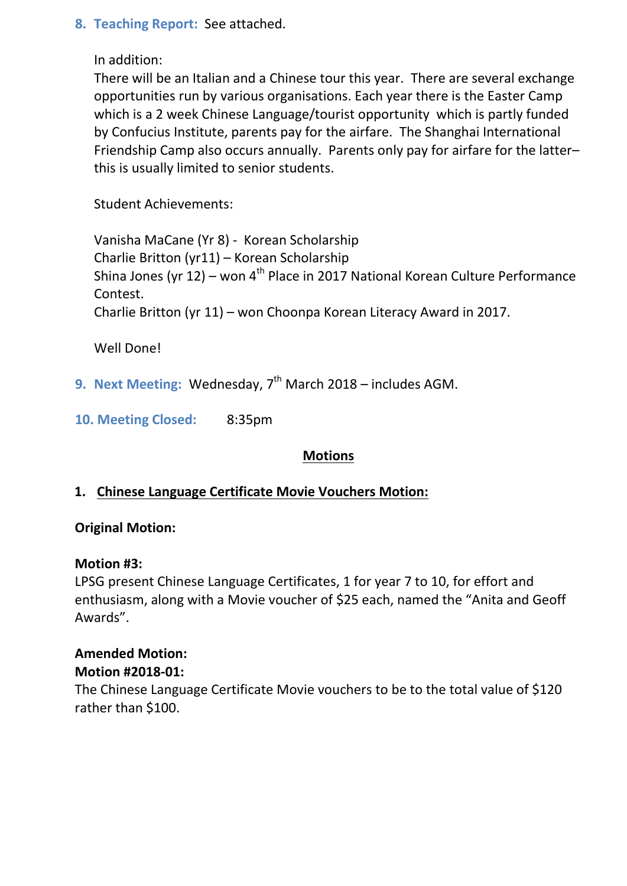# **8. Teaching Report:** See attached.

In addition:

There will be an Italian and a Chinese tour this year. There are several exchange opportunities run by various organisations. Each year there is the Easter Camp which is a 2 week Chinese Language/tourist opportunity which is partly funded by Confucius Institute, parents pay for the airfare. The Shanghai International Friendship Camp also occurs annually. Parents only pay for airfare for the latter– this is usually limited to senior students.

Student Achievements:

Vanisha MaCane (Yr 8) - Korean Scholarship Charlie Britton (yr11) – Korean Scholarship Shina Jones (yr 12) – won 4<sup>th</sup> Place in 2017 National Korean Culture Performance Contest. Charlie Britton (yr 11) – won Choonpa Korean Literacy Award in 2017.

Well Done!

9. **Next Meeting: Wednesday, 7<sup>th</sup> March 2018 – includes AGM.** 

**10. Meeting Closed:** 8:35pm

# **Motions**

# **1. Chinese Language Certificate Movie Vouchers Motion:**

# **Original Motion:**

### **Motion #3:**

LPSG present Chinese Language Certificates, 1 for year 7 to 10, for effort and enthusiasm, along with a Movie voucher of \$25 each, named the "Anita and Geoff Awards".

# **Amended Motion:**

**Motion #2018-01:**

The Chinese Language Certificate Movie vouchers to be to the total value of \$120 rather than \$100.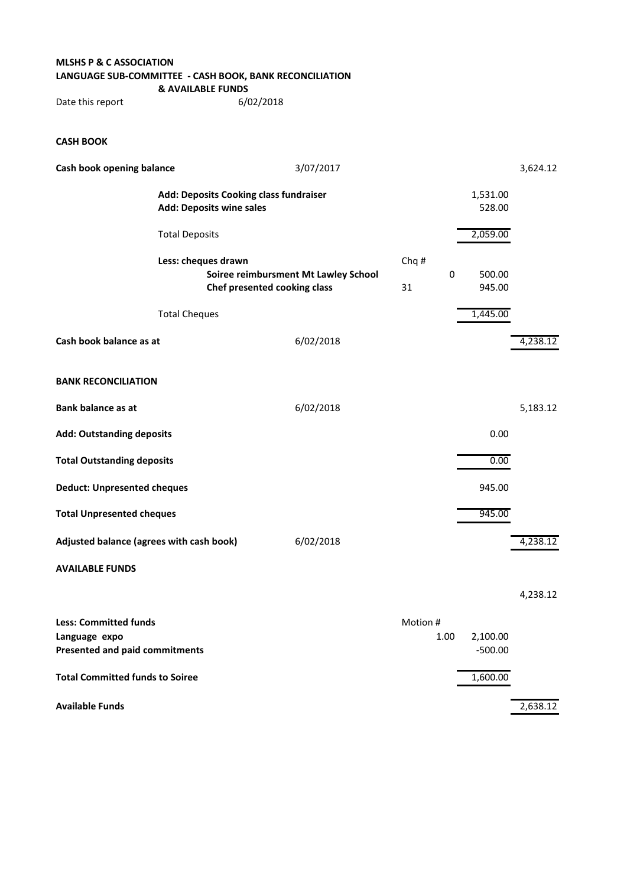#### **MLSHS P & C ASSOCIATION LANGUAGE SUB-COMMITTEE - CASH BOOK, BANK RECONCILIATION & AVAILABLE FUNDS**

Date this report 6/02/2018

#### **CASH BOOK**

| Cash book opening balance                                                 |                       | 3/07/2017                                                            |                  |                    | 3,624.12 |
|---------------------------------------------------------------------------|-----------------------|----------------------------------------------------------------------|------------------|--------------------|----------|
| Add: Deposits Cooking class fundraiser<br><b>Add: Deposits wine sales</b> |                       |                                                                      |                  | 1,531.00<br>528.00 |          |
|                                                                           | <b>Total Deposits</b> |                                                                      |                  | 2,059.00           |          |
|                                                                           | Less: cheques drawn   | Soiree reimbursment Mt Lawley School<br>Chef presented cooking class | Chq#<br>0<br>31  | 500.00<br>945.00   |          |
|                                                                           | <b>Total Cheques</b>  |                                                                      |                  | 1,445.00           |          |
| Cash book balance as at                                                   |                       | 6/02/2018                                                            |                  |                    | 4,238.12 |
| <b>BANK RECONCILIATION</b>                                                |                       |                                                                      |                  |                    |          |
| <b>Bank balance as at</b>                                                 |                       | 6/02/2018                                                            |                  |                    | 5,183.12 |
| <b>Add: Outstanding deposits</b>                                          |                       |                                                                      |                  | 0.00               |          |
| <b>Total Outstanding deposits</b>                                         |                       |                                                                      |                  | 0.00               |          |
| <b>Deduct: Unpresented cheques</b>                                        |                       |                                                                      |                  | 945.00             |          |
| <b>Total Unpresented cheques</b>                                          |                       |                                                                      |                  | 945.00             |          |
| Adjusted balance (agrees with cash book)                                  |                       | 6/02/2018                                                            |                  |                    | 4,238.12 |
| <b>AVAILABLE FUNDS</b>                                                    |                       |                                                                      |                  |                    |          |
|                                                                           |                       |                                                                      |                  |                    | 4,238.12 |
| <b>Less: Committed funds</b><br>Language expo                             |                       |                                                                      | Motion #<br>1.00 | 2,100.00           |          |
| <b>Presented and paid commitments</b>                                     |                       |                                                                      |                  | $-500.00$          |          |

**Total Committed funds to Soiree** 1,600.00 **Available Funds** 2,638.12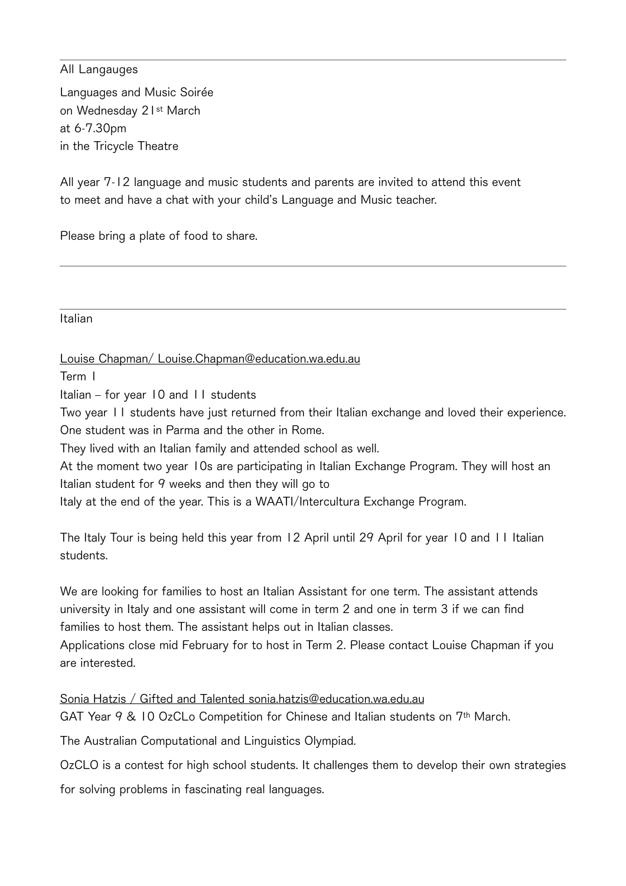#### All Langauges

Languages and Music Soirée on Wednesday 21st March at6-7.30pm in the Tricycle Theatre

All year 7-12 language and music students and parents are invited to attend this event to meet and have a chat with your child's Language and Music teacher.

Please bring a plate of food to share.

Italian

Louise Chapman/ Louise.Chapman@education.wa.edu.au

Term1

Italian - for year 10 and 11 students

Two year 11 students have just returned from their Italian exchange and loved their experience. One student was in Parma and the other in Rome.

They lived with an Italian family and attended school as well.

At the moment two year 10s are participating in Italian Exchange Program. They will host an Italian student for 9 weeks and then they will go to

Italy at the end of the year. This is a WAATI/Intercultura Exchange Program.

The Italy Tour is being held this year from 12 April until 29 April for year 10 and 11 Italian students.

We are looking for families to host an Italian Assistant for one term. The assistant attends university in Italy and one assistant will come in term 2 and one in term 3 if we can find families to host them. The assistant helps out in Italian classes.

Applications close mid February for to host in Term 2. Please contact Louise Chapman if you are interested.

Sonia Hatzis / Gifted and Talented sonia.hatzis@education.wa.edu.au GAT Year  $9$  & 10 OzCLo Competition for Chinese and Italian students on  $7<sup>th</sup>$  March.

The Australian Computational and Linguistics Olympiad.

OzCLO is a contest for high school students. It challenges them to develop their own strategies

for solving problems in fascinating real languages.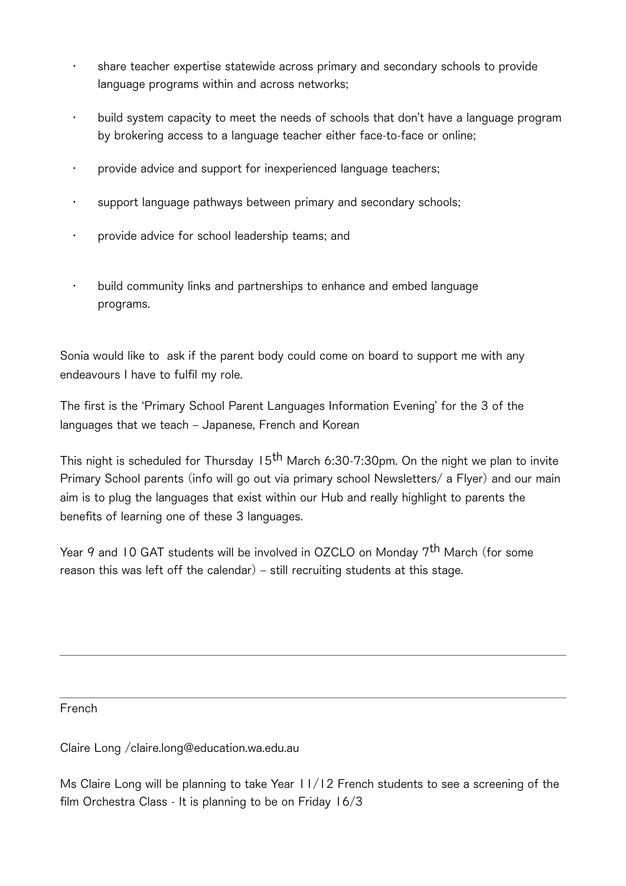- share teacher expertise statewide across primary and secondary schools to provide language programs within and across networks;
- build system capacity to meet the needs of schools that don't have a language program by brokering access to a language teacher either face-to-face or online;
- provide advice and support for inexperienced language teachers;
- support language pathways between primary and secondary schools;
- provide advice for school leadership teams; and
- $\cdot$  build community links and partnerships to enhance and embed language programs.

Sonia would like to ask if the parent body could come on board to support me with any endeavours I have to fulfil my role.

The first is the 'Primary School Parent Languages Information Evening' for the 3 of the languages that we teach - Japanese, French and Korean

This night is scheduled for Thursday  $15<sup>th</sup>$  March 6:30-7:30pm. On the night we plan to invite Primary School parents (info will go out via primary school Newsletters/ a Flyer) and our main aim is to plug the languages that exist within our Hub and really highlight to parents the benefits of learning one of these 3 languages.

Year 9 and 10 GAT students will be involved in OZCLO on Monday 7<sup>th</sup> March (for some reason this was left off the calendar)  $-$  still recruiting students at this stage.

French

Claire Long / claire.long@education.wa.edu.au

Ms Claire Long will be planning to take Year  $11/12$  French students to see a screening of the film Orchestra Class - It is planning to be on Friday  $16/3$